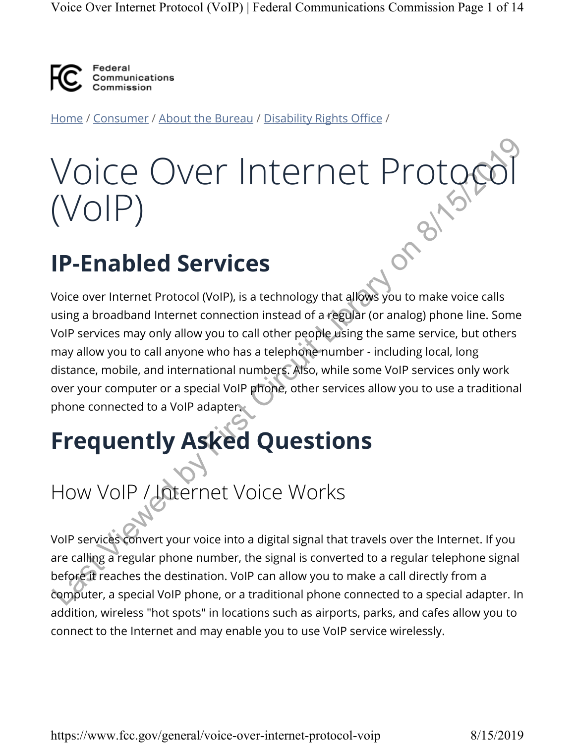

Home / Consumer / About the Bureau / Disability Rights Office /

# Voice Over Internet Protocol (VoIP)

# **IP-Enabled Services**

Voice over Internet Protocol (VoIP), is a technology that allows you to make voice calls using a broadband Internet connection instead of a regular (or analog) phone line. Some VoIP services may only allow you to call other people using the same service, but others may allow you to call anyone who has a telephone number - including local, long distance, mobile, and international numbers. Also, while some VoIP services only work over your computer or a special VoIP phone, other services allow you to use a traditional phone connected to a VoIP adapter. VOICE OVET INTETNET PTOTOCCO (VOIP)<br>
(VOIP)<br>
IP-Enabled Services<br>
Voice over Internet Protocol (VoIP), is a technology that allows you to make voice calls<br>
voir services may only allow you to call driver people using the s

# **Frequently Asked Questions**

# How VoIP / Internet Voice Works

VoIP services convert your voice into a digital signal that travels over the Internet. If you are calling a regular phone number, the signal is converted to a regular telephone signal before it reaches the destination. VoIP can allow you to make a call directly from a computer, a special VoIP phone, or a traditional phone connected to a special adapter. In addition, wireless "hot spots" in locations such as airports, parks, and cafes allow you to connect to the Internet and may enable you to use VoIP service wirelessly.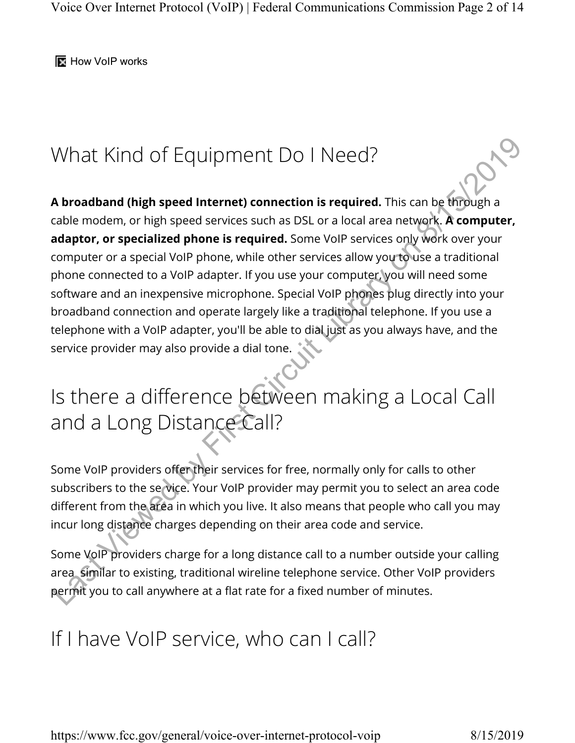**How VoIP works** 

# What Kind of Equipment Do I Need?

**A broadband (high speed Internet) connection is required.** This can be through a cable modem, or high speed services such as DSL or a local area network. **A computer, adaptor, or specialized phone is required.** Some VoIP services only work over your computer or a special VoIP phone, while other services allow you to use a traditional phone connected to a VoIP adapter. If you use your computer, you will need some software and an inexpensive microphone. Special VoIP phones plug directly into your broadband connection and operate largely like a traditional telephone. If you use a telephone with a VoIP adapter, you'll be able to dial just as you always have, and the service provider may also provide a dial tone. What Kind of Equipment Do | Need?<br>
A broadband (high speed internet) connection is required. This can be diffough a<br>
cable modem, or high speed services such as DSL or a local area network. A computer,<br>
adaptor, or special

# Is there a difference between making a Local Call and a Long Distance Call?

Some VoIP providers offer their services for free, normally only for calls to other subscribers to the se vice. Your VoIP provider may permit you to select an area code different from the area in which you live. It also means that people who call you may incur long distance charges depending on their area code and service.

Some VoIP providers charge for a long distance call to a number outside your calling area similar to existing, traditional wireline telephone service. Other VoIP providers permit you to call anywhere at a flat rate for a fixed number of minutes.

# If I have VoIP service, who can I call?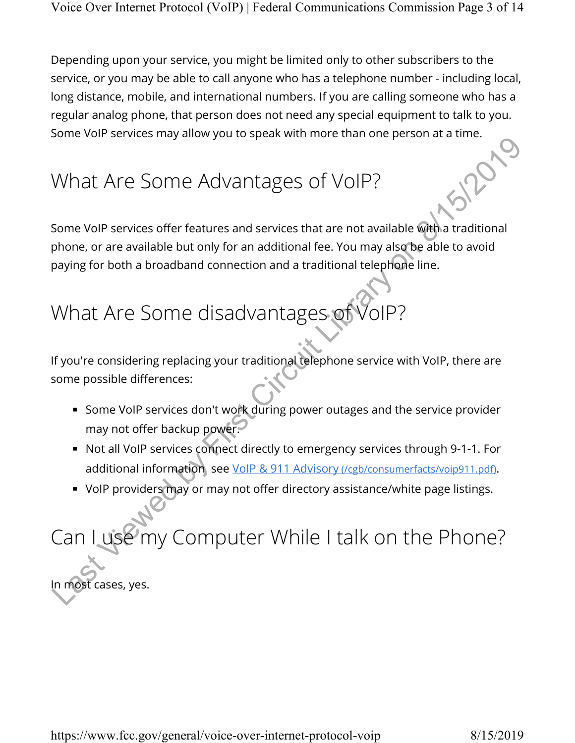Depending upon your service, you might be limited only to other subscribers to the service, or you may be able to call anyone who has a telephone number - including local, long distance, mobile, and international numbers. If you are calling someone who has a regular analog phone, that person does not need any special equipment to talk to you. Some VoIP services may allow you to speak with more than one person at a time.

# What Are Some Advantages of VoIP?

Some VoIP services offer features and services that are not available with a traditional phone, or are available but only for an additional fee. You may also be able to avoid paying for both a broadband connection and a traditional telephone line. What Are Some Advantages of VoIP?<br>
Some voIP services offer features and services that are not available with a traditional<br>
phone, or are available but only for an additional fee. You may also be able to avoid<br>
paying for

# What Are Some disadvantages of

If you're considering replacing your traditional telephone service with VoIP, there are some possible differences:

- Some VoIP services don't work during power outages and the service provider may not offer backup power.
- Not all VoIP services connect directly to emergency services through 9-1-1. For additional information see VoIP & 911 Advisory (/cgb/consumerfacts/voip911.pdf).
- VoIP providers may or may not offer directory assistance/white page listings.

# Can I use my Computer While I talk on the Phone?

In most cases, yes.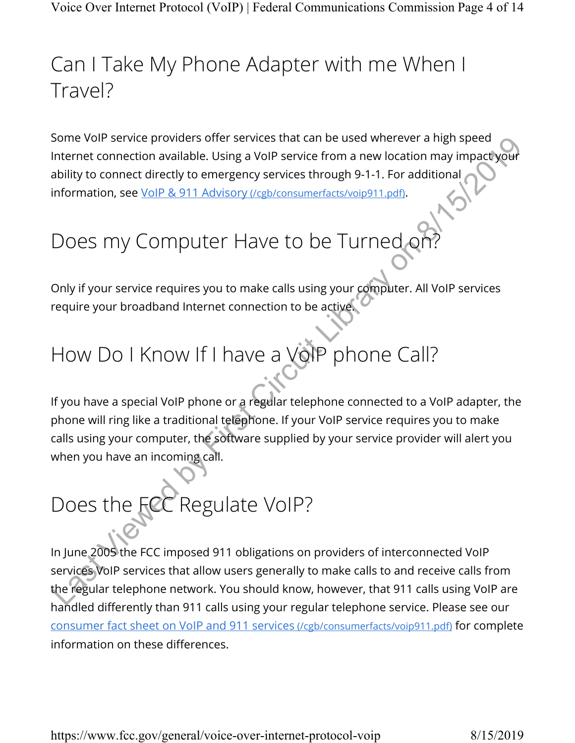# Can I Take My Phone Adapter with me When I Travel?

Some VoIP service providers offer services that can be used wherever a high speed Internet connection available. Using a VoIP service from a new location may impact your ability to connect directly to emergency services through 9-1-1. For additional information, see VoIP & 911 Advisory (/cgb/consumerfacts/voip911.pdf).

# Does my Computer Have to be Turned or

Only if your service requires you to make calls using your computer. All VoIP services require your broadband Internet connection to be active.

# How Do I Know If I have a VoIP phone Call?

If you have a special VoIP phone or a regular telephone connected to a VoIP adapter, the phone will ring like a traditional telephone. If your VoIP service requires you to make calls using your computer, the software supplied by your service provider will alert you when you have an incoming call. Some voir service providers oner services that can be used wherever a negotial tinternet connection available. Using a VoIP service from a new location may impactively<br>ability to connect directly to emergency services thro

# Does the FCC Regulate VoIP?

In June 2005 the FCC imposed 911 obligations on providers of interconnected VoIP services VoIP services that allow users generally to make calls to and receive calls from the regular telephone network. You should know, however, that 911 calls using VoIP are handled differently than 911 calls using your regular telephone service. Please see our consumer fact sheet on VoIP and 911 services (/cgb/consumerfacts/voip911.pdf) for complete information on these differences.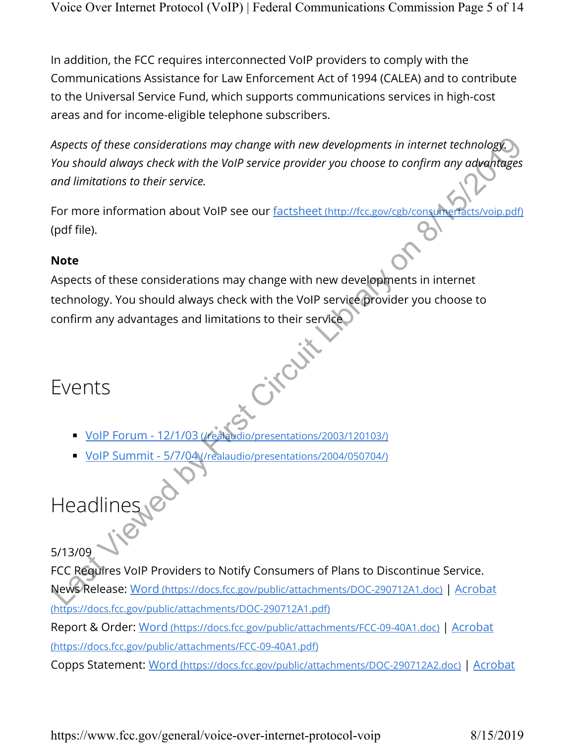In addition, the FCC requires interconnected VoIP providers to comply with the Communications Assistance for Law Enforcement Act of 1994 (CALEA) and to contribute to the Universal Service Fund, which supports communications services in high-cost areas and for income-eligible telephone subscribers.

*Aspects of these considerations may change with new developments in internet technology. You should always check with the VoIP service provider you choose to confirm any advantages and limitations to their service.*

For more information about VoIP see our factsheet (http://fcc.gov/cgb/consumerfacts/voip.pdf) (pdf file).

### **Note**

Aspects of these considerations may change with new developments in internet technology. You should always check with the VoIP service provider you choose to confirm any advantages and limitations to their service. Aspects of these considerations may change with new developments in internet technology<br>
Solvier Should diveys check with the VoIP service provider you choose to confirm any advantages<br>
and limitations to their service.<br>
N

# Events

- VoIP Forum 12/1/03 (/realaudio/presentations/2003/120103/)
- VoIP Summit 5/7/04 (/realaudio/presentations/2004/050704/)

Headlines ed

5/13/09

FCC Requires VoIP Providers to Notify Consumers of Plans to Discontinue Service. News Release: Word (https://docs.fcc.gov/public/attachments/DOC-290712A1.doc) | Acrobat (https://docs.fcc.gov/public/attachments/DOC-290712A1.pdf)

Report & Order: Word (https://docs.fcc.gov/public/attachments/FCC-09-40A1.doc) | Acrobat (https://docs.fcc.gov/public/attachments/FCC-09-40A1.pdf)

Copps Statement: Word (https://docs.fcc.gov/public/attachments/DOC-290712A2.doc) | Acrobat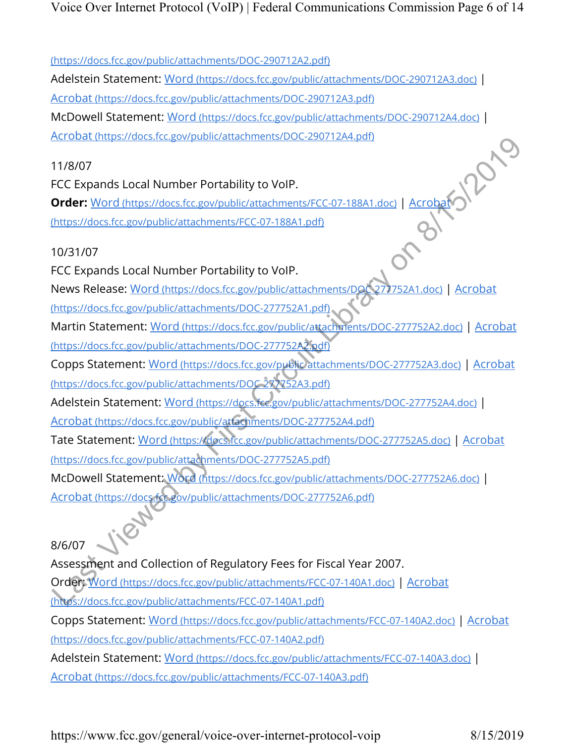Voice Over Internet Protocol (VoIP) | Federal Communications Commission Page 6 of 14

(https://docs.fcc.gov/public/attachments/DOC-290712A2.pdf)

Adelstein Statement: Word (https://docs.fcc.gov/public/attachments/DOC-290712A3.doc) | Acrobat (https://docs.fcc.gov/public/attachments/DOC-290712A3.pdf) McDowell Statement: Word (https://docs.fcc.gov/public/attachments/DOC-290712A4.doc) |

Acrobat (https://docs.fcc.gov/public/attachments/DOC-290712A4.pdf)

### 11/8/07

FCC Expands Local Number Portability to VoIP.

**Order:** Word (https://docs.fcc.gov/public/attachments/FCC-07-188A1.doc) | Acrobat (https://docs.fcc.gov/public/attachments/FCC-07-188A1.pdf)

### 10/31/07

FCC Expands Local Number Portability to VoIP.

News Release: Word (https://docs.fcc.gov/public/attachments/DOC 277752A1.doc) | Acrobat (https://docs.fcc.gov/public/attachments/DOC-277752A1.pdf)

Martin Statement: Word (https://docs.fcc.gov/public/attachments/DOC-277752A2.doc) | Acrobat (https://docs.fcc.gov/public/attachments/DOC-277752A2.pdf)

Copps Statement: Word (https://docs.fcc.gov/public attachments/DOC-277752A3.doc) | Acrobat (https://docs.fcc.gov/public/attachments/DOC 277752A3.pdf)

Adelstein Statement: Word (https://docs.fcc.gov/public/attachments/DOC-277752A4.doc) |

Acrobat (https://docs.fcc.gov/public/attachments/DOC-277752A4.pdf)

Tate Statement: Word (https://docs.fcc.gov/public/attachments/DOC-277752A5.doc) | Acrobat (https://docs.fcc.gov/public/attachments/DOC-277752A5.pdf)

McDowell Statement: Word (https://docs.fcc.gov/public/attachments/DOC-277752A6.doc) | Acrobat (https://docs.fcc.gov/public/attachments/DOC-277752A6.pdf)

8/6/07 Assessment and Collection of Regulatory Fees for Fiscal Year 2007. Order: Word (https://docs.fcc.gov/public/attachments/FCC-07-140A1.doc) | Acrobat (https://docs.fcc.gov/public/attachments/FCC-07-140A1.pdf) Copps Statement: Word (https://docs.fcc.gov/public/attachments/FCC-07-140A2.doc) | Acrobat (https://docs.fcc.gov/public/attachments/FCC-07-140A2.pdf) Adelstein Statement: Word (https://docs.fcc.gov/public/attachments/FCC-07-140A3.doc) | Acrobat (https://docs.fcc.gov/public/attachments/FCC-07-140A3.pdf) ELECCE Expansions, i.e. gov.public/atachmients/DOC-2017/24-8001<br>
MCFCC Expands Local Number Portability to VoIP.<br>
Correct Word interstations of Circuit Correct Correct Correct Correct Correct Correct Correct Correct Correc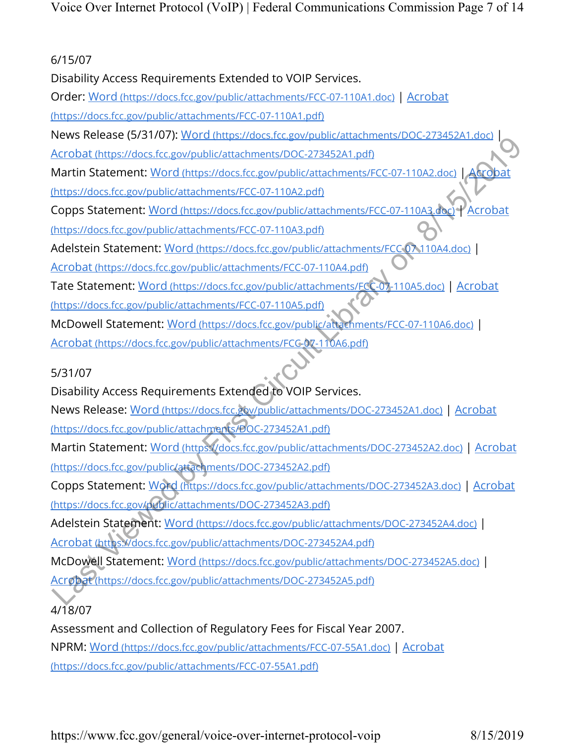### 6/15/07

Disability Access Requirements Extended to VOIP Services.

Order: Word (https://docs.fcc.gov/public/attachments/FCC-07-110A1.doc) | Acrobat

(https://docs.fcc.gov/public/attachments/FCC-07-110A1.pdf)

News Release (5/31/07): Word (https://docs.fcc.gov/public/attachments/DOC-273452A1.doc) |

Acrobat (https://docs.fcc.gov/public/attachments/DOC-273452A1.pdf)

Martin Statement: Word (https://docs.fcc.gov/public/attachments/FCC-07-110A2.doc) | Acrobat

(https://docs.fcc.gov/public/attachments/FCC-07-110A2.pdf)

Copps Statement: Word (https://docs.fcc.gov/public/attachments/FCC-07-110A3.doc) | Acrobat (https://docs.fcc.gov/public/attachments/FCC-07-110A3.pdf)

Adelstein Statement: Word (https://docs.fcc.gov/public/attachments/FCC 07 110A4.doc) |

Acrobat (https://docs.fcc.gov/public/attachments/FCC-07-110A4.pdf)

Tate Statement: Word (https://docs.fcc.gov/public/attachments/FCC-07-110A5.doc) | Acrobat (https://docs.fcc.gov/public/attachments/FCC-07-110A5.pdf)

McDowell Statement: Word (https://docs.fcc.gov/public/attachments/FCC-07-110A6.doc) |

Acrobat (https://docs.fcc.gov/public/attachments/FCC-07-110A6.pdf)

5/31/07

Disability Access Requirements Extended to VOIP Services.

News Release: Word (https://docs.fcc.gov/public/attachments/DOC-273452A1.doc) | Acrobat (https://docs.fcc.gov/public/attachments/DOC-273452A1.pdf)

Martin Statement: Word (https://docs.fcc.gov/public/attachments/DOC-273452A2.doc) | Acrobat (https://docs.fcc.gov/public/attachments/DOC-273452A2.pdf) Electron Containstant Containstant Circuit Circuit Containers (2014-274524)<br>
Acrobat (https://docs.fcc.gov/public/attachments/DGC-27345241.pdf)<br>
Martin Statement: Word (https://docs.fcc.gov/public/attachments/FCC-07-110A2.

Copps Statement: Word (https://docs.fcc.gov/public/attachments/DOC-273452A3.doc) | Acrobat (https://docs.fcc.gov/public/attachments/DOC-273452A3.pdf)

Adelstein Statement: Word (https://docs.fcc.gov/public/attachments/DOC-273452A4.doc) | Acrobat (https://docs.fcc.gov/public/attachments/DOC-273452A4.pdf)

McDowell Statement: Word (https://docs.fcc.gov/public/attachments/DOC-273452A5.doc) |

Acrobat (https://docs.fcc.gov/public/attachments/DOC-273452A5.pdf)

# 4/18/07

Assessment and Collection of Regulatory Fees for Fiscal Year 2007. NPRM: Word (https://docs.fcc.gov/public/attachments/FCC-07-55A1.doc) | Acrobat (https://docs.fcc.gov/public/attachments/FCC-07-55A1.pdf)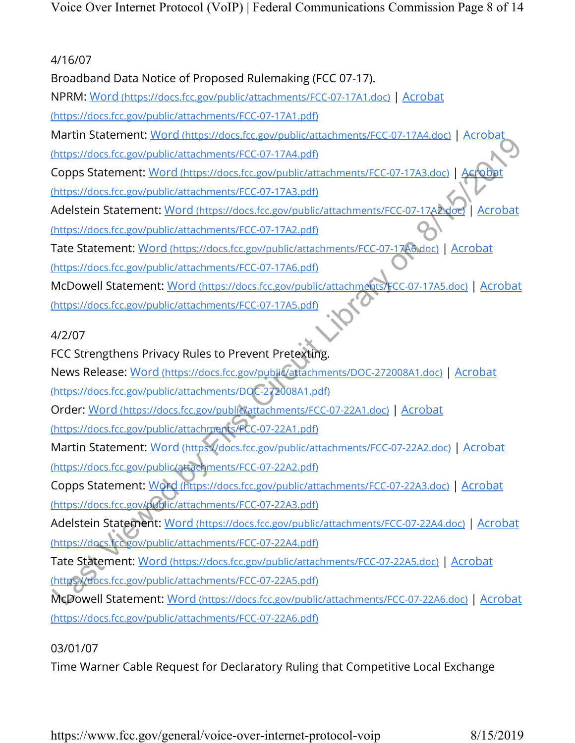### 4/16/07

Broadband Data Notice of Proposed Rulemaking (FCC 07-17).

NPRM: Word (https://docs.fcc.gov/public/attachments/FCC-07-17A1.doc) | Acrobat

(https://docs.fcc.gov/public/attachments/FCC-07-17A1.pdf)

Martin Statement: Word (https://docs.fcc.gov/public/attachments/FCC-07-17A4.doc) | Acrobat

(https://docs.fcc.gov/public/attachments/FCC-07-17A4.pdf)

Copps Statement: Word (https://docs.fcc.gov/public/attachments/FCC-07-17A3.doc) | Acrobat

(https://docs.fcc.gov/public/attachments/FCC-07-17A3.pdf)

Adelstein Statement: Word (https://docs.fcc.gov/public/attachments/FCC-07-17A2.doc) | Acrobat (https://docs.fcc.gov/public/attachments/FCC-07-17A2.pdf)

Tate Statement: Word (https://docs.fcc.gov/public/attachments/FCC-07-17A6.doc) | Acrobat (https://docs.fcc.gov/public/attachments/FCC-07-17A6.pdf)

McDowell Statement: Word (https://docs.fcc.gov/public/attachments/FCC-07-17A5.doc) | Acrobat (https://docs.fcc.gov/public/attachments/FCC-07-17A5.pdf) Morthurs://docs.fcc.gov/public/attachments/FCC-07-22A1.docs/14CC-07-22A5.doc | Acrobat<br>https://docs.fcc.gov/public/attachments/FCC-07-17A4.pdf<br>
https://docs.fcc.gov/public/attachments/FCC-07-17A4.pdf<br>
Murss://docs.fcc.gov/

# 4/2/07

FCC Strengthens Privacy Rules to Prevent Pretexting.

News Release: Word (https://docs.fcc.gov/public/attachments/DOC-272008A1.doc) | Acrobat (https://docs.fcc.gov/public/attachments/DOC-272008A1.pdf)

Order: Word (https://docs.fcc.gov/public/attachments/FCC-07-22A1.doc) | Acrobat

(https://docs.fcc.gov/public/attachments/FCC-07-22A1.pdf)

Martin Statement: Word (https://docs.fcc.gov/public/attachments/FCC-07-22A2.doc) | Acrobat (https://docs.fcc.gov/public/attachments/FCC-07-22A2.pdf)

Copps Statement: Word (https://docs.fcc.gov/public/attachments/FCC-07-22A3.doc) | Acrobat (https://docs.fcc.gov/public/attachments/FCC-07-22A3.pdf)

Adelstein Statement: Word (https://docs.fcc.gov/public/attachments/FCC-07-22A4.doc) | Acrobat (https://docs.fcc.gov/public/attachments/FCC-07-22A4.pdf)

Tate Statement: Word (https://docs.fcc.gov/public/attachments/FCC-07-22A5.doc) | Acrobat (https //docs.fcc.gov/public/attachments/FCC-07-22A5.pdf)

McDowell Statement: Word (https://docs.fcc.gov/public/attachments/FCC-07-22A6.doc) | Acrobat (https://docs.fcc.gov/public/attachments/FCC-07-22A6.pdf)

# 03/01/07

Time Warner Cable Request for Declaratory Ruling that Competitive Local Exchange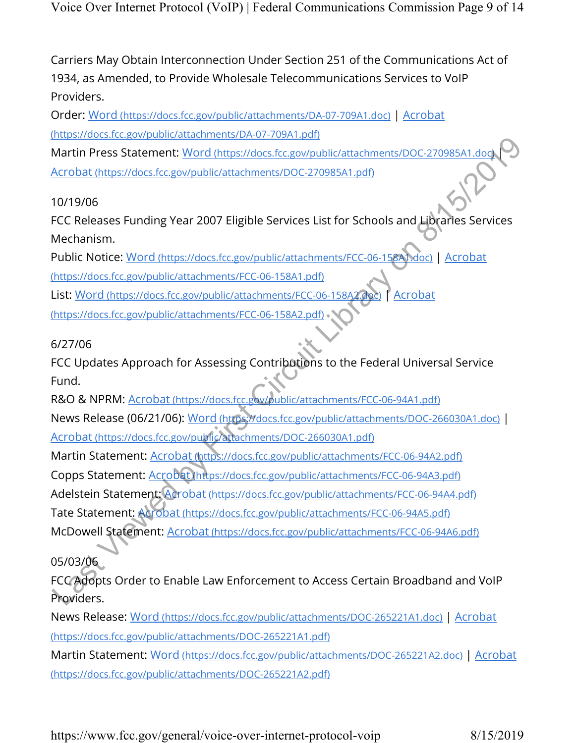Carriers May Obtain Interconnection Under Section 251 of the Communications Act of 1934, as Amended, to Provide Wholesale Telecommunications Services to VoIP Providers.

Order: Word (https://docs.fcc.gov/public/attachments/DA-07-709A1.doc) | Acrobat (https://docs.fcc.gov/public/attachments/DA-07-709A1.pdf)

Martin Press Statement: Word (https://docs.fcc.gov/public/attachments/DOC-270985A1.doc) Acrobat (https://docs.fcc.gov/public/attachments/DOC-270985A1.pdf)

10/19/06

FCC Releases Funding Year 2007 Eligible Services List for Schools and Libraries Services Mechanism.

Public Notice: Word (https://docs.fcc.gov/public/attachments/FCC-06-158A1.doc) | Acrobat (https://docs.fcc.gov/public/attachments/FCC-06-158A1.pdf) List: Word (https://docs.fcc.gov/public/attachments/FCC-06-158A2.doc) | Acrobat

(https://docs.fcc.gov/public/attachments/FCC-06-158A2.pdf)

### 6/27/06

FCC Updates Approach for Assessing Contributions to the Federal Universal Service Fund.

R&O & NPRM: Acrobat (https://docs.fcc.gov/public/attachments/FCC-06-94A1.pdf) News Release (06/21/06): Word (https://docs.fcc.gov/public/attachments/DOC-266030A1.doc) | Acrobat (https://docs.fcc.gov/public/attachments/DOC-266030A1.pdf)

Martin Statement: Acrobat (https://docs.fcc.gov/public/attachments/FCC-06-94A2.pdf) Copps Statement: Acrobat (https://docs.fcc.gov/public/attachments/FCC-06-94A3.pdf) Adelstein Statement: Acrobat (https://docs.fcc.gov/public/attachments/FCC-06-94A4.pdf) Tate Statement: Acrobat (https://docs.fcc.gov/public/attachments/FCC-06-94A5.pdf) McDowell Statement: Acrobat (https://docs.fcc.gov/public/attachments/FCC-06-94A6.pdf) Martin Press Statement: Word Intuss/Motos.fcc.gov/public/attachments/DOC-270985A1.dom<br>Acrobat (https://docs.fcc.gov/public/attachments/DOC-270985A1.pdf)<br>Acrobat (https://docs.fcc.gov/public/attachments/DOC-270985A1.pdf)<br>TO

05/03/06

FCC Adopts Order to Enable Law Enforcement to Access Certain Broadband and VoIP Providers.

News Release: Word (https://docs.fcc.gov/public/attachments/DOC-265221A1.doc) | Acrobat (https://docs.fcc.gov/public/attachments/DOC-265221A1.pdf)

Martin Statement: Word (https://docs.fcc.gov/public/attachments/DOC-265221A2.doc) | Acrobat (https://docs.fcc.gov/public/attachments/DOC-265221A2.pdf)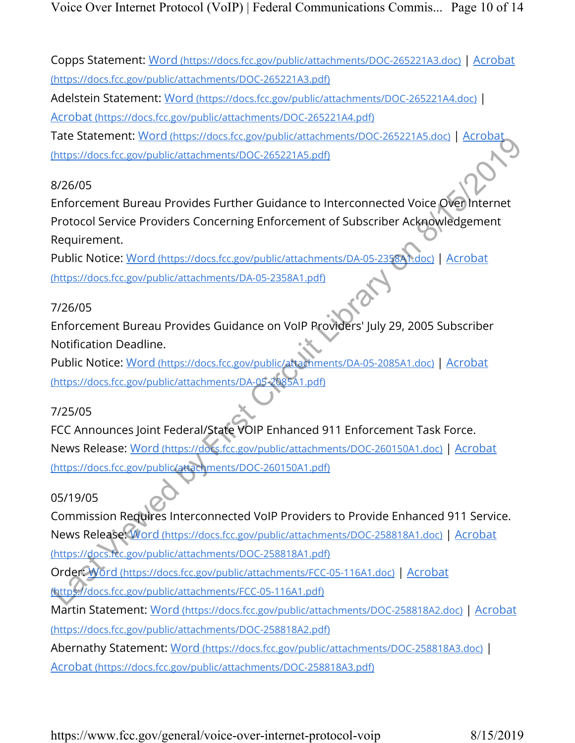Copps Statement: Word (https://docs.fcc.gov/public/attachments/DOC-265221A3.doc) | Acrobat (https://docs.fcc.gov/public/attachments/DOC-265221A3.pdf)

Adelstein Statement: Word (https://docs.fcc.gov/public/attachments/DOC-265221A4.doc) |

Acrobat (https://docs.fcc.gov/public/attachments/DOC-265221A4.pdf)

Tate Statement: Word (https://docs.fcc.gov/public/attachments/DOC-265221A5.doc) | Acrobat (https://docs.fcc.gov/public/attachments/DOC-265221A5.pdf)

### 8/26/05

Enforcement Bureau Provides Further Guidance to Interconnected Voice Over Internet Protocol Service Providers Concerning Enforcement of Subscriber Acknowledgement Requirement.

Public Notice: Word (https://docs.fcc.gov/public/attachments/DA-05-2358A1.doc) | Acrobat (https://docs.fcc.gov/public/attachments/DA-05-2358A1.pdf)

### 7/26/05

Enforcement Bureau Provides Guidance on VoIP Providers' July 29, 2005 Subscriber Notification Deadline.

Public Notice: Word (https://docs.fcc.gov/public/attachments/DA-05-2085A1.doc) | Acrobat (https://docs.fcc.gov/public/attachments/DA-05-2085A1.pdf)

# 7/25/05

FCC Announces Joint Federal/State VOIP Enhanced 911 Enforcement Task Force. News Release: Word (https://docs.fcc.gov/public/attachments/DOC-260150A1.doc) | Acrobat (https://docs.fcc.gov/public/attachments/DOC-260150A1.pdf)

# 05/19/05

Commission Requires Interconnected VoIP Providers to Provide Enhanced 911 Service. News Release: Word (https://docs.fcc.gov/public/attachments/DOC-258818A1.doc) | Acrobat (https://docs.fcc.gov/public/attachments/DOC-258818A1.pdf) Order: Word (https://docs.fcc.gov/public/attachments/FCC-05-116A1.doc) | Acrobat (https://docs.fcc.gov/public/attachments/FCC-05-116A1.pdf) Martin Statement: Word (https://docs.fcc.gov/public/attachments/DOC-258818A2.doc) | Acrobat Hare Statementri, <u>who implicited the metallicant and the statements</u><br>
Hare Statement Bureau Provides Further Guidance to Interconnected Voice *Queen*<br>
By First Circuit Library on Bureau Provides Further Guidance to Interc

(https://docs.fcc.gov/public/attachments/DOC-258818A2.pdf)

Abernathy Statement: Word (https://docs.fcc.gov/public/attachments/DOC-258818A3.doc) |

Acrobat (https://docs.fcc.gov/public/attachments/DOC-258818A3.pdf)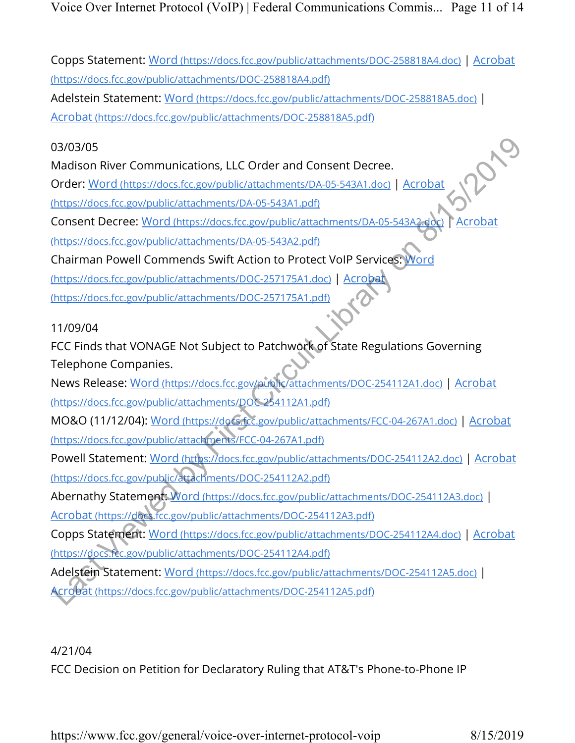Voice Over Internet Protocol (VoIP) | Federal Communications Commis... Page 11 of 14

Copps Statement: Word (https://docs.fcc.gov/public/attachments/DOC-258818A4.doc) | Acrobat (https://docs.fcc.gov/public/attachments/DOC-258818A4.pdf)

Adelstein Statement: Word (https://docs.fcc.gov/public/attachments/DOC-258818A5.doc) | Acrobat (https://docs.fcc.gov/public/attachments/DOC-258818A5.pdf)

03/03/05

Madison River Communications, LLC Order and Consent Decree.

Order: Word (https://docs.fcc.gov/public/attachments/DA-05-543A1.doc) | Acrobat

(https://docs.fcc.gov/public/attachments/DA-05-543A1.pdf)

Consent Decree: Word (https://docs.fcc.gov/public/attachments/DA-05-543A2.doc) | Acrobat

(https://docs.fcc.gov/public/attachments/DA-05-543A2.pdf)

Chairman Powell Commends Swift Action to Protect VoIP Services: Word

(https://docs.fcc.gov/public/attachments/DOC-257175A1.doc) | Acrobat

(https://docs.fcc.gov/public/attachments/DOC-257175A1.pdf)

11/09/04

FCC Finds that VONAGE Not Subject to Patchwork of State Regulations Governing Telephone Companies.

News Release: Word (https://docs.fcc.gov/public/attachments/DOC-254112A1.doc) | Acrobat (https://docs.fcc.gov/public/attachments/DOC 254112A1.pdf) 03/03/05<br>
Madison River Communications, LLC Order and Consent Decree.<br>
Order: Word Intes://docs.fcc.gov/public/attachments/DA-05-543A1.doc) | Acrobat<br>
https://docs.fcc.gov/public/attachments/DA-05-543A1.ddf<br>
Consent Decree

MO&O (11/12/04): Word (https://docs.fcc.gov/public/attachments/FCC-04-267A1.doc) | Acrobat (https://docs.fcc.gov/public/attachments/FCC-04-267A1.pdf)

Powell Statement: Word (https://docs.fcc.gov/public/attachments/DOC-254112A2.doc) | Acrobat (https://docs.fcc.gov/public/attachments/DOC-254112A2.pdf)

Abernathy Statement: Word (https://docs.fcc.gov/public/attachments/DOC-254112A3.doc) | Acrobat (https://docs.fcc.gov/public/attachments/DOC-254112A3.pdf)

Copps Statement: Word (https://docs.fcc.gov/public/attachments/DOC-254112A4.doc) | Acrobat (https://docs.fcc.gov/public/attachments/DOC-254112A4.pdf)

Adelstein Statement: Word (https://docs.fcc.gov/public/attachments/DOC-254112A5.doc) | Acrobat (https://docs.fcc.gov/public/attachments/DOC-254112A5.pdf)

4/21/04

FCC Decision on Petition for Declaratory Ruling that AT&T's Phone-to-Phone IP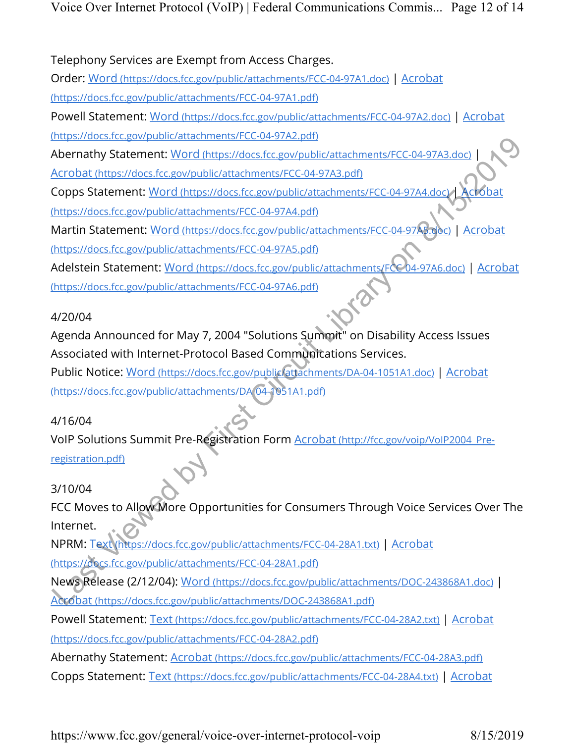Telephony Services are Exempt from Access Charges.

Order: Word (https://docs.fcc.gov/public/attachments/FCC-04-97A1.doc) | Acrobat

(https://docs.fcc.gov/public/attachments/FCC-04-97A1.pdf)

Powell Statement: Word (https://docs.fcc.gov/public/attachments/FCC-04-97A2.doc) | Acrobat

(https://docs.fcc.gov/public/attachments/FCC-04-97A2.pdf)

Abernathy Statement: Word (https://docs.fcc.gov/public/attachments/FCC-04-97A3.doc) |

Acrobat (https://docs.fcc.gov/public/attachments/FCC-04-97A3.pdf)

Copps Statement: Word (https://docs.fcc.gov/public/attachments/FCC-04-97A4.doc) | Acrobat

(https://docs.fcc.gov/public/attachments/FCC-04-97A4.pdf)

Martin Statement: Word (https://docs.fcc.gov/public/attachments/FCC-04-97A5.doc) | Acrobat (https://docs.fcc.gov/public/attachments/FCC-04-97A5.pdf)

Adelstein Statement: Word (https://docs.fcc.gov/public/attachments/FCC 04-97A6.doc) | Acrobat (https://docs.fcc.gov/public/attachments/FCC-04-97A6.pdf)

# 4/20/04

Agenda Announced for May 7, 2004 "Solutions Summit" on Disability Access Issues Associated with Internet-Protocol Based Communications Services. Public Notice: Word (https://docs.fcc.gov/public/attachments/DA-04-1051A1.doc) | Acrobat (https://docs.fcc.gov/public/attachments/DA 04-1051A1.pdf) mapsons and the experimental community Constrained and the SAM and Netrolastical Constrained and Acrobat Intersections (regover) and Acrobat Acrobat Acrobat Margivides (regover) bilication metals (regover) and Copy Stateme

# 4/16/04

VoIP Solutions Summit Pre-Registration Form Acrobat (http://fcc.gov/voip/VoIP2004 Preregistration.pdf)

# 3/10/04

FCC Moves to Allow More Opportunities for Consumers Through Voice Services Over The Internet.

NPRM: Text (https://docs.fcc.gov/public/attachments/FCC-04-28A1.txt) | Acrobat

(https://docs.fcc.gov/public/attachments/FCC-04-28A1.pdf)

News Release (2/12/04): Word (https://docs.fcc.gov/public/attachments/DOC-243868A1.doc) | Acrobat (https://docs.fcc.gov/public/attachments/DOC-243868A1.pdf)

Powell Statement: Text (https://docs.fcc.gov/public/attachments/FCC-04-28A2.txt) | Acrobat

(https://docs.fcc.gov/public/attachments/FCC-04-28A2.pdf)

Abernathy Statement: Acrobat (https://docs.fcc.gov/public/attachments/FCC-04-28A3.pdf)

Copps Statement: Text (https://docs.fcc.gov/public/attachments/FCC-04-28A4.txt) | Acrobat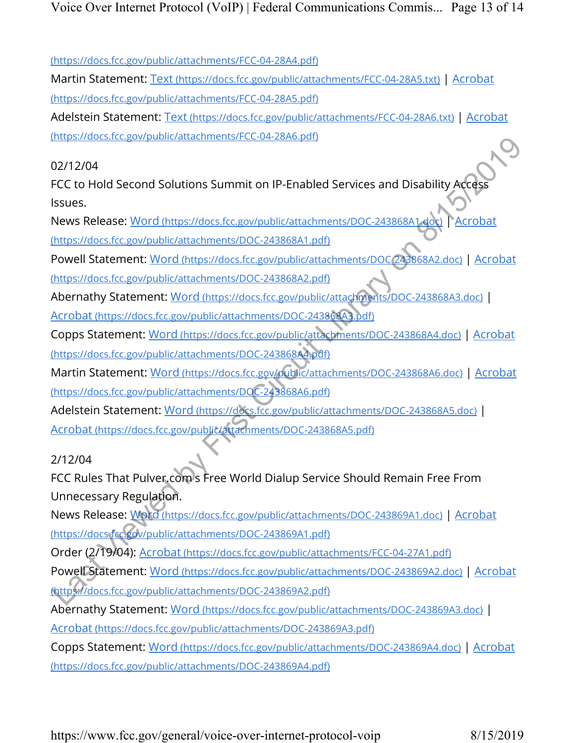(https://docs.fcc.gov/public/attachments/FCC-04-28A4.pdf)

Martin Statement: Text (https://docs.fcc.gov/public/attachments/FCC-04-28A5.txt) | Acrobat (https://docs.fcc.gov/public/attachments/FCC-04-28A5.pdf)

Adelstein Statement: Text (https://docs.fcc.gov/public/attachments/FCC-04-28A6.txt) | Acrobat (https://docs.fcc.gov/public/attachments/FCC-04-28A6.pdf)

### 02/12/04

FCC to Hold Second Solutions Summit on IP-Enabled Services and Disability Access Issues.

News Release: Word (https://docs.fcc.gov/public/attachments/DOC-243868A1.doc) | Acrobat (https://docs.fcc.gov/public/attachments/DOC-243868A1.pdf)

Powell Statement: Word (https://docs.fcc.gov/public/attachments/DOC 243868A2.doc) | Acrobat (https://docs.fcc.gov/public/attachments/DOC-243868A2.pdf)

Abernathy Statement: Word (https://docs.fcc.gov/public/attachments/DOC-243868A3.doc) |

Acrobat (https://docs.fcc.gov/public/attachments/DOC-243868A3.pdf)

Copps Statement: Word (https://docs.fcc.gov/public/attachments/DOC-243868A4.doc) | Acrobat (https://docs.fcc.gov/public/attachments/DOC-243868A4.pdf)

Martin Statement: Word (https://docs.fcc.gov/public/attachments/DOC-243868A6.doc) | Acrobat (https://docs.fcc.gov/public/attachments/DOC-243868A6.pdf)

Adelstein Statement: Word (https://docs.fcc.gov/public/attachments/DOC-243868A5.doc) | Acrobat (https://docs.fcc.gov/public/attachments/DOC-243868A5.pdf)

### 2/12/04

FCC Rules That Pulver.com s Free World Dialup Service Should Remain Free From Unnecessary Regulation.

News Release: Word (https://docs.fcc.gov/public/attachments/DOC-243869A1.doc) | Acrobat (https://docs fcc.gov/public/attachments/DOC-243869A1.pdf)

Order (2/19/04): Acrobat (https://docs.fcc.gov/public/attachments/FCC-04-27A1.pdf)

Powell Statement: Word (https://docs.fcc.gov/public/attachments/DOC-243869A2.doc) | Acrobat (https://docs.fcc.gov/public/attachments/DOC-243869A2.pdf) International Control Control Control Control Control Control Control Control Control Control Control Control Control Control Control Control Control Control Control Control Control Control Control Control Control Control

Abernathy Statement: Word (https://docs.fcc.gov/public/attachments/DOC-243869A3.doc) |

Acrobat (https://docs.fcc.gov/public/attachments/DOC-243869A3.pdf)

Copps Statement: Word (https://docs.fcc.gov/public/attachments/DOC-243869A4.doc) | Acrobat (https://docs.fcc.gov/public/attachments/DOC-243869A4.pdf)